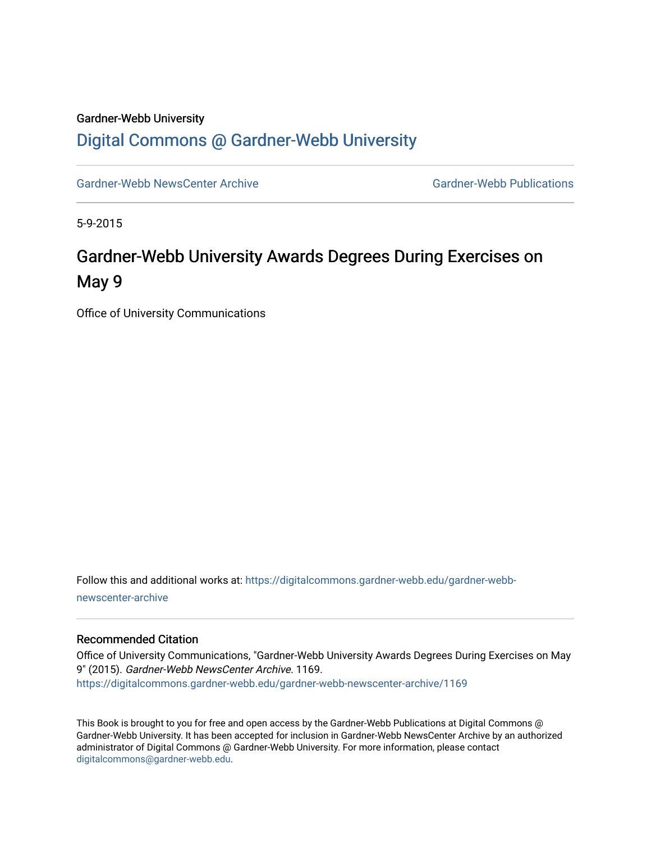## Gardner-Webb University [Digital Commons @ Gardner-Webb University](https://digitalcommons.gardner-webb.edu/)

[Gardner-Webb NewsCenter Archive](https://digitalcommons.gardner-webb.edu/gardner-webb-newscenter-archive) Gardner-Webb Publications

5-9-2015

# Gardner-Webb University Awards Degrees During Exercises on May 9

Office of University Communications

Follow this and additional works at: [https://digitalcommons.gardner-webb.edu/gardner-webb](https://digitalcommons.gardner-webb.edu/gardner-webb-newscenter-archive?utm_source=digitalcommons.gardner-webb.edu%2Fgardner-webb-newscenter-archive%2F1169&utm_medium=PDF&utm_campaign=PDFCoverPages)[newscenter-archive](https://digitalcommons.gardner-webb.edu/gardner-webb-newscenter-archive?utm_source=digitalcommons.gardner-webb.edu%2Fgardner-webb-newscenter-archive%2F1169&utm_medium=PDF&utm_campaign=PDFCoverPages)

#### Recommended Citation

Office of University Communications, "Gardner-Webb University Awards Degrees During Exercises on May 9" (2015). Gardner-Webb NewsCenter Archive. 1169. [https://digitalcommons.gardner-webb.edu/gardner-webb-newscenter-archive/1169](https://digitalcommons.gardner-webb.edu/gardner-webb-newscenter-archive/1169?utm_source=digitalcommons.gardner-webb.edu%2Fgardner-webb-newscenter-archive%2F1169&utm_medium=PDF&utm_campaign=PDFCoverPages) 

This Book is brought to you for free and open access by the Gardner-Webb Publications at Digital Commons @ Gardner-Webb University. It has been accepted for inclusion in Gardner-Webb NewsCenter Archive by an authorized administrator of Digital Commons @ Gardner-Webb University. For more information, please contact [digitalcommons@gardner-webb.edu](mailto:digitalcommons@gardner-webb.edu).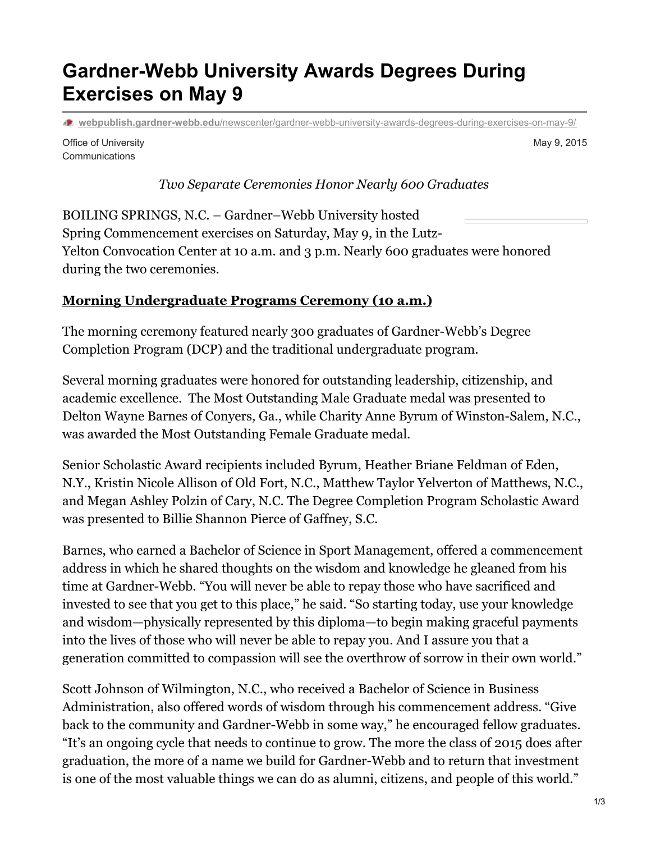# **Gardner-Webb University Awards Degrees During Exercises on May 9**

**webpublish.gardner-webb.edu**[/newscenter/gardner-webb-university-awards-degrees-during-exercises-on-may-9/](https://webpublish.gardner-webb.edu/newscenter/gardner-webb-university-awards-degrees-during-exercises-on-may-9/)

Office of University **Communications** 

May 9, 2015

#### *Two Separate Ceremonies Honor Nearly 600 Graduates*

BOILING SPRINGS, N.C. – Gardner–Webb University hosted Spring Commencement exercises on Saturday, May 9, in the Lutz-Yelton Convocation Center at 10 a.m. and 3 p.m. Nearly 600 graduates were honored during the two ceremonies.

### **Morning [Undergraduate](http://photos.gardner-webb.edu/2015/May-2015/Spring-Commencement-10am) Programs Ceremony (10 a.m.)**

The morning ceremony featured nearly 300 graduates of Gardner-Webb's Degree Completion Program (DCP) and the traditional undergraduate program.

Several morning graduates were honored for outstanding leadership, citizenship, and academic excellence. The Most Outstanding Male Graduate medal was presented to Delton Wayne Barnes of Conyers, Ga., while Charity Anne Byrum of Winston-Salem, N.C., was awarded the Most Outstanding Female Graduate medal.

Senior Scholastic Award recipients included Byrum, Heather Briane Feldman of Eden, N.Y., Kristin Nicole Allison of Old Fort, N.C., Matthew Taylor Yelverton of Matthews, N.C., and Megan Ashley Polzin of Cary, N.C. The Degree Completion Program Scholastic Award was presented to Billie Shannon Pierce of Gaffney, S.C.

Barnes, who earned a Bachelor of Science in Sport Management, offered a commencement address in which he shared thoughts on the wisdom and knowledge he gleaned from his time at Gardner-Webb. "You will never be able to repay those who have sacrificed and invested to see that you get to this place," he said. "So starting today, use your knowledge and wisdom—physically represented by this diploma—to begin making graceful payments into the lives of those who will never be able to repay you. And I assure you that a generation committed to compassion will see the overthrow of sorrow in their own world."

Scott Johnson of Wilmington, N.C., who received a Bachelor of Science in Business Administration, also offered words of wisdom through his commencement address. "Give back to the community and Gardner-Webb in some way," he encouraged fellow graduates. "It's an ongoing cycle that needs to continue to grow. The more the class of 2015 does after graduation, the more of a name we build for Gardner-Webb and to return that investment is one of the most valuable things we can do as alumni, citizens, and people of this world."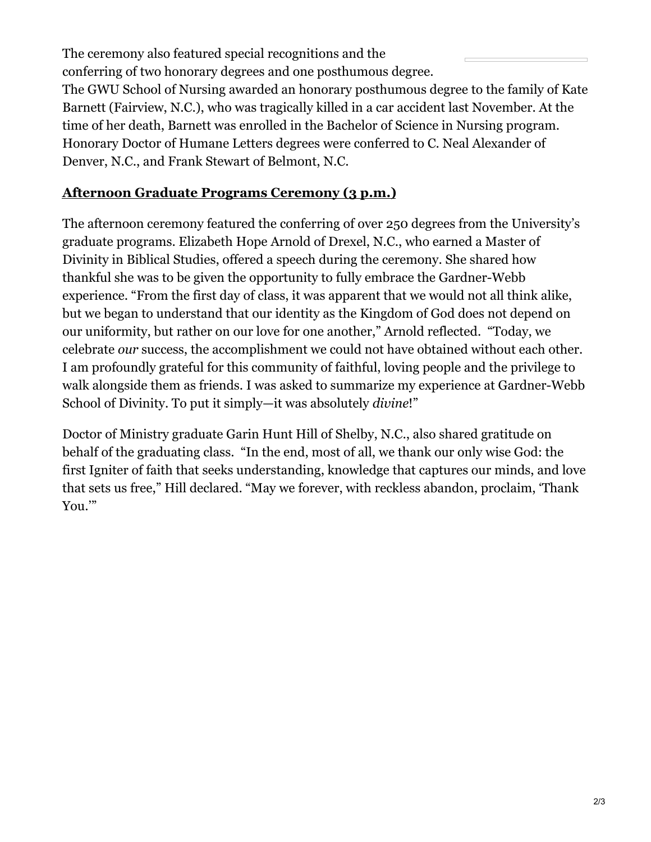The ceremony also featured special recognitions and the conferring of two honorary degrees and one posthumous degree.

The GWU School of Nursing awarded an honorary posthumous degree to the family of Kate Barnett (Fairview, N.C.), who was tragically killed in a car accident last November. At the time of her death, Barnett was enrolled in the Bachelor of Science in Nursing program. Honorary Doctor of Humane Letters degrees were conferred to C. Neal Alexander of Denver, N.C., and Frank Stewart of Belmont, N.C.

### **[Afternoon](http://photos.gardner-webb.edu/2015/May-2015/Spring-Commencement-3pm) Graduate Programs Ceremony (3 p.m.)**

The afternoon ceremony featured the conferring of over 250 degrees from the University's graduate programs. Elizabeth Hope Arnold of Drexel, N.C., who earned a Master of Divinity in Biblical Studies, offered a speech during the ceremony. She shared how thankful she was to be given the opportunity to fully embrace the Gardner-Webb experience. "From the first day of class, it was apparent that we would not all think alike, but we began to understand that our identity as the Kingdom of God does not depend on our uniformity, but rather on our love for one another," Arnold reflected. "Today, we celebrate *our* success, the accomplishment we could not have obtained without each other. I am profoundly grateful for this community of faithful, loving people and the privilege to walk alongside them as friends. I was asked to summarize my experience at Gardner-Webb School of Divinity. To put it simply—it was absolutely *divine*!"

Doctor of Ministry graduate Garin Hunt Hill of Shelby, N.C., also shared gratitude on behalf of the graduating class. "In the end, most of all, we thank our only wise God: the first Igniter of faith that seeks understanding, knowledge that captures our minds, and love that sets us free," Hill declared. "May we forever, with reckless abandon, proclaim, 'Thank You.'"